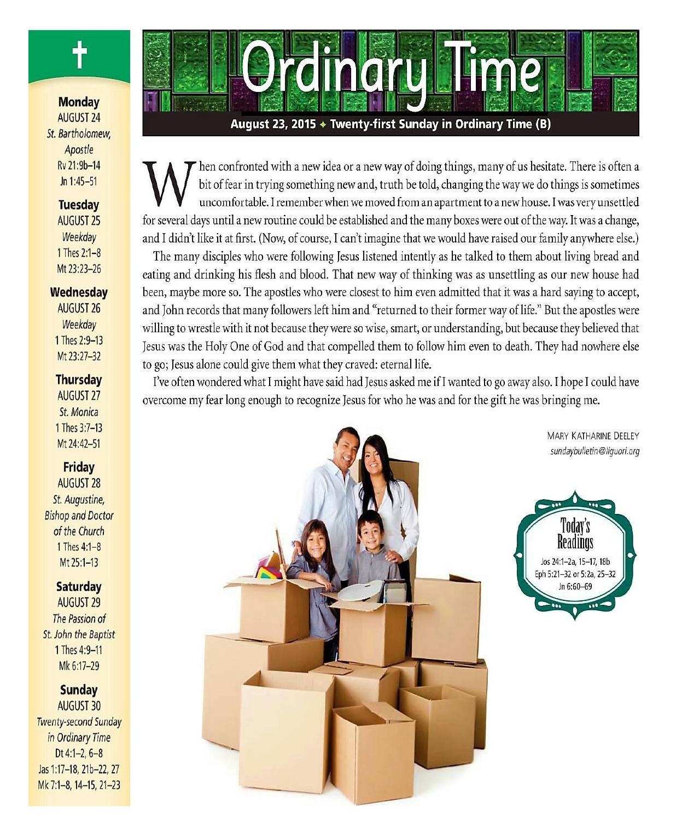

## **Monday AUGUST 24** St. Bartholomew. Apostle Rv 21:9b-14  $ln 1:45 - 51$

# **Tuesday**

**AUGUST 25** Weekday 1 Thes 2:1-8 Mt 23:23-26

#### Wednesdav

**AUGUST 26** Weekday 1 Thes 2:9-13 Mt 23:27-32

#### **Thursday**

**AUGUST 27** St. Monica 1 Thes 3:7-13 Mt 24:42-51

## **Friday**

**AUGUST 28** St. Augustine, **Bishop and Doctor** of the Church 1 Thes 4:1-8 Mt 25:1-13

## **Saturday**

**AUGUST 29** The Passion of St. John the Baptist 1 Thes 4:9-11 Mk 6:17-29

## **Sunday**

**AUGUST 30 Twenty-second Sunday** in Ordinary Time Dt 4:1-2,  $6-8$ Jas 1:17-18, 21b-22, 27 Mk 7:1-8, 14-15, 21-23

# August 23, 2015 + Twenty-first Sunday in Ordinary Time (B)

**CHACK HEAP** 

hen confronted with a new idea or a new way of doing things, many of us hesitate. There is often a bit of fear in trying something new and, truth be told, changing the way we do things is sometimes uncomfortable. I remember when we moved from an apartment to a new house. I was very unsettled for several days until a new routine could be established and the many boxes were out of the way. It was a change, and I didn't like it at first. (Now, of course, I can't imagine that we would have raised our family anywhere else.)

The many disciples who were following Jesus listened intently as he talked to them about living bread and eating and drinking his flesh and blood. That new way of thinking was as unsettling as our new house had been, maybe more so. The apostles who were closest to him even admitted that it was a hard saying to accept, and John records that many followers left him and "returned to their former way of life." But the apostles were willing to wrestle with it not because they were so wise, smart, or understanding, but because they believed that Jesus was the Holy One of God and that compelled them to follow him even to death. They had nowhere else to go; Jesus alone could give them what they craved: eternal life.

I've often wondered what I might have said had Jesus asked me if I wanted to go away also. I hope I could have overcome my fear long enough to recognize Jesus for who he was and for the gift he was bringing me.



**MARY KATHARINE DEELEY** sundaybulletin@liquori.org

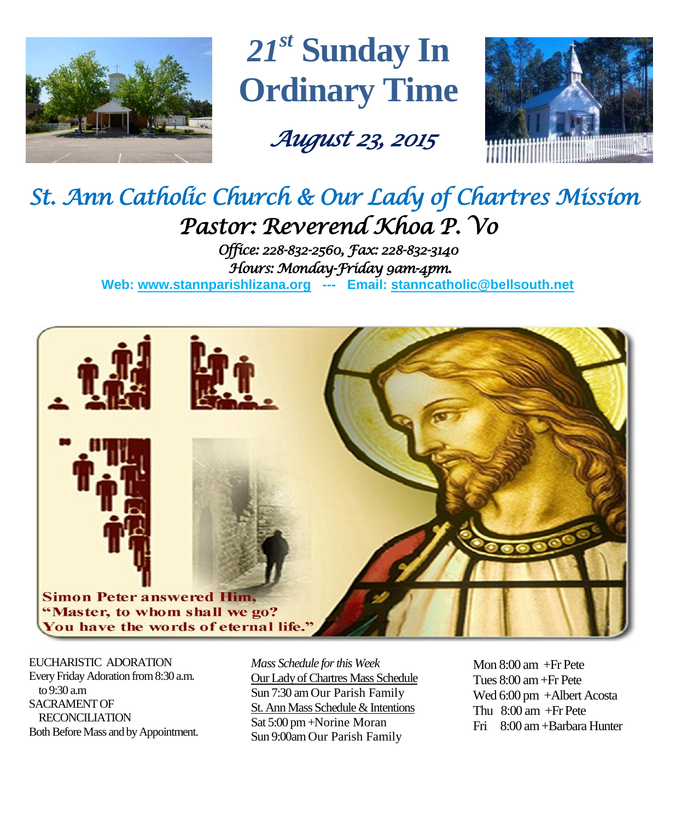

*21 st* **Sunday In Ordinary Time**

 *August 23, 2015* 



# *St. Ann Catholic Church & Our Lady of Chartres Mission Pastor: Reverend Khoa P. Vo*

*Office: 228-832-2560, Fax: 228-832-3140 Hours: Monday-Friday 9am-4pm.*  **Web: www.stannparishlizana.org --- Email: [stanncatholic@bellsouth.net](mailto:stanncatholic@bellsouth.net)**



EUCHARISTIC ADORATION Every Friday Adoration from 8:30 a.m. to 9:30 a.m SACRAMENT OF RECONCILIATION Both Before Mass and by Appointment. *Mass Schedule for this Week*  Our Lady of Chartres Mass Schedule Sun 7:30 am Our Parish Family St. Ann Mass Schedule & Intentions Sat 5:00 pm +Norine Moran Sun 9:00am Our Parish Family

Mon 8:00 am +Fr Pete Tues 8:00 am +Fr Pete Wed 6:00 pm +Albert Acosta Thu 8:00 am +Fr Pete Fri 8:00 am+Barbara Hunter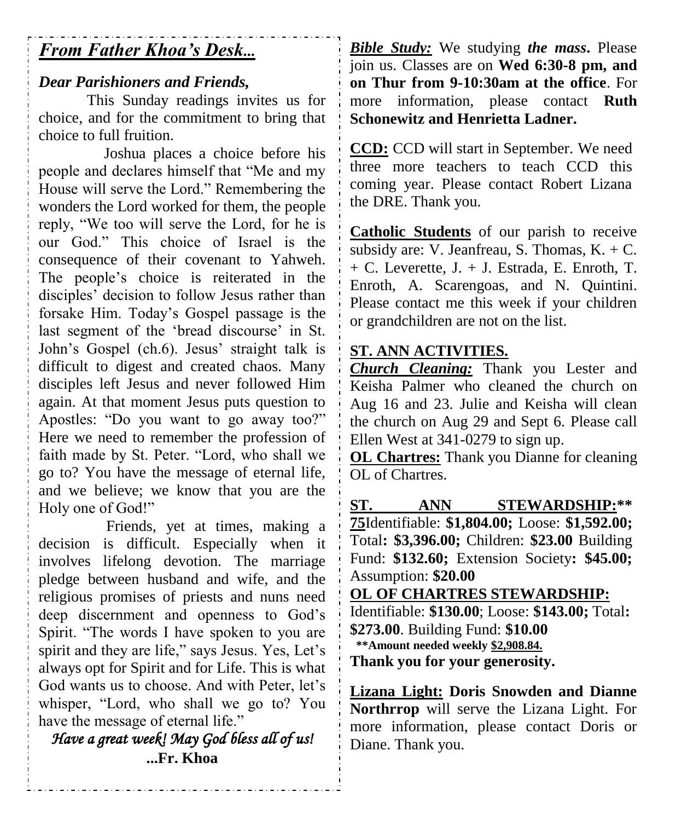# *From Father Khoa's Desk...*

# *Dear Parishioners and Friends,*

This Sunday readings invites us for choice, and for the commitment to bring that choice to full fruition.

Joshua places a choice before his people and declares himself that "Me and my House will serve the Lord." Remembering the wonders the Lord worked for them, the people reply, "We too will serve the Lord, for he is our God." This choice of Israel is the consequence of their covenant to Yahweh. The people's choice is reiterated in the disciples' decision to follow Jesus rather than forsake Him. Today's Gospel passage is the last segment of the 'bread discourse' in St. John's Gospel (ch.6). Jesus' straight talk is difficult to digest and created chaos. Many disciples left Jesus and never followed Him again. At that moment Jesus puts question to Apostles: "Do you want to go away too?" Here we need to remember the profession of faith made by St. Peter. "Lord, who shall we go to? You have the message of eternal life, and we believe; we know that you are the Holy one of God!"

Friends, yet at times, making a decision is difficult. Especially when it involves lifelong devotion. The marriage pledge between husband and wife, and the religious promises of priests and nuns need deep discernment and openness to God's Spirit. "The words I have spoken to you are spirit and they are life," says Jesus. Yes, Let's always opt for Spirit and for Life. This is what God wants us to choose. And with Peter, let's whisper, "Lord, who shall we go to? You have the message of eternal life."

*Have a great week! May God bless all of us!*  **...Fr. Khoa**

*Bible Study:* We studying *the mass***.** Please join us. Classes are on **Wed 6:30-8 pm, and on Thur from 9-10:30am at the office**. For more information, please contact **Ruth Schonewitz and Henrietta Ladner.**

**CCD:** CCD will start in September. We need three more teachers to teach CCD this coming year. Please contact Robert Lizana the DRE. Thank you.

**Catholic Students** of our parish to receive subsidy are: V. Jeanfreau, S. Thomas,  $K + C$ . + C. Leverette, J. + J. Estrada, E. Enroth, T. Enroth, A. Scarengoas, and N. Quintini. Please contact me this week if your children or grandchildren are not on the list.

## **ST. ANN ACTIVITIES.**

*Church Cleaning:* Thank you Lester and Keisha Palmer who cleaned the church on Aug 16 and 23. Julie and Keisha will clean the church on Aug 29 and Sept 6. Please call Ellen West at 341-0279 to sign up.

**OL Chartres:** Thank you Dianne for cleaning OL of Chartres.

**ST. ANN STEWARDSHIP:\*\* 75**Identifiable: **\$1,804.00;** Loose: **\$1,592.00;**  Total**: \$3,396.00;** Children: **\$23.00** Building Fund: **\$132.60;** Extension Society**: \$45.00;**  Assumption: **\$20.00 OL OF CHARTRES STEWARDSHIP:**

Identifiable: **\$130.00**; Loose: **\$143.00;** Total**: \$273.00**. Building Fund: **\$10.00 \*\*Amount needed weekly \$2,908.84. Thank you for your generosity.**

**Lizana Light: Doris Snowden and Dianne Northrrop** will serve the Lizana Light. For more information, please contact Doris or Diane. Thank you.